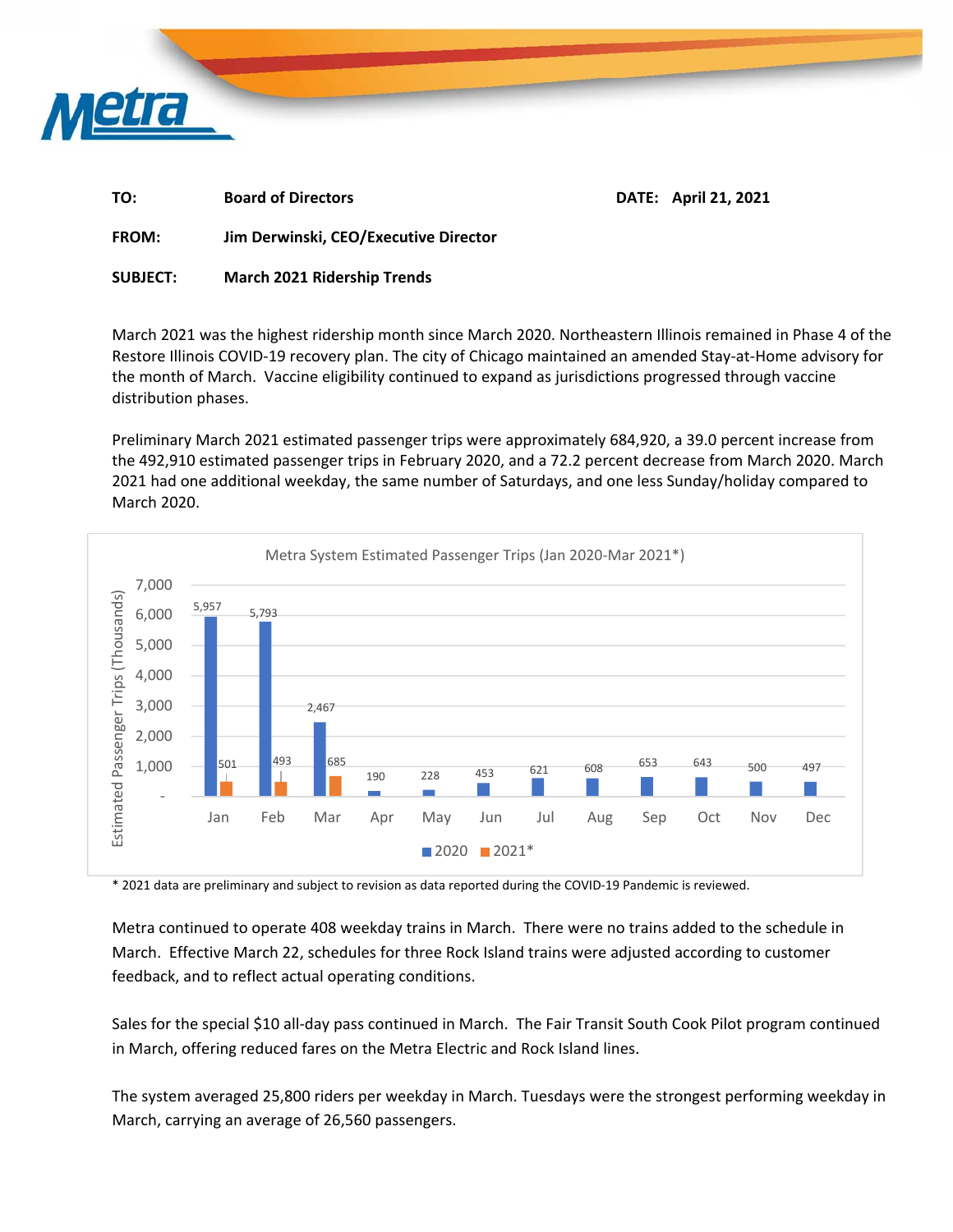

| TO:  | <b>Board of Directors</b> | DATE: April 21, 2021 |
|------|---------------------------|----------------------|
| ____ | .<br>--                   |                      |

**FROM: Jim Derwinski, CEO/Executive Director** 

**SUBJECT: March 2021 Ridership Trends** 

March 2021 was the highest ridership month since March 2020. Northeastern Illinois remained in Phase 4 of the Restore Illinois COVID‐19 recovery plan. The city of Chicago maintained an amended Stay‐at‐Home advisory for the month of March. Vaccine eligibility continued to expand as jurisdictions progressed through vaccine distribution phases.

Preliminary March 2021 estimated passenger trips were approximately 684,920, a 39.0 percent increase from the 492,910 estimated passenger trips in February 2020, and a 72.2 percent decrease from March 2020. March 2021 had one additional weekday, the same number of Saturdays, and one less Sunday/holiday compared to March 2020.



\* 2021 data are preliminary and subject to revision as data reported during the COVID‐19 Pandemic is reviewed.

Metra continued to operate 408 weekday trains in March. There were no trains added to the schedule in March. Effective March 22, schedules for three Rock Island trains were adjusted according to customer feedback, and to reflect actual operating conditions.

Sales for the special \$10 all‐day pass continued in March. The Fair Transit South Cook Pilot program continued in March, offering reduced fares on the Metra Electric and Rock Island lines.

The system averaged 25,800 riders per weekday in March. Tuesdays were the strongest performing weekday in March, carrying an average of 26,560 passengers.